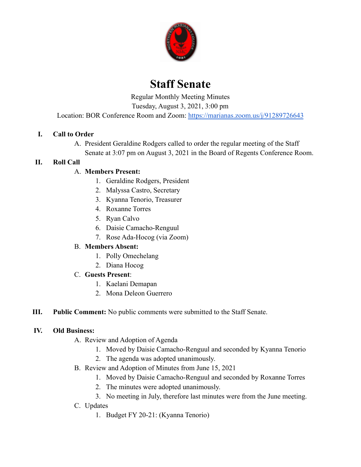

# **Staff Senate**

Regular Monthly Meeting Minutes

Tuesday, August 3, 2021, 3:00 pm

Location: BOR Conference Room and Zoom: <https://marianas.zoom.us/j/91289726643>

## **I. Call to Order**

A. President Geraldine Rodgers called to order the regular meeting of the Staff Senate at 3:07 pm on August 3, 2021 in the Board of Regents Conference Room.

#### **II. Roll Call**

## A. **Members Present:**

- 1. Geraldine Rodgers, President
- 2. Malyssa Castro, Secretary
- 3. Kyanna Tenorio, Treasurer
- 4. Roxanne Torres
- 5. Ryan Calvo
- 6. Daisie Camacho-Renguul
- 7. Rose Ada-Hocog (via Zoom)

#### B. **Members Absent:**

- 1. Polly Omechelang
- 2. Diana Hocog

#### C. **Guests Present**:

- 1. Kaelani Demapan
- 2. Mona Deleon Guerrero
- **III. Public Comment:** No public comments were submitted to the Staff Senate.

#### **IV. Old Business:**

- A. Review and Adoption of Agenda
	- 1. Moved by Daisie Camacho-Renguul and seconded by Kyanna Tenorio
	- 2. The agenda was adopted unanimously.
- B. Review and Adoption of Minutes from June 15, 2021
	- 1. Moved by Daisie Camacho-Renguul and seconded by Roxanne Torres
	- 2. The minutes were adopted unanimously.
	- 3. No meeting in July, therefore last minutes were from the June meeting.
- C. Updates
	- 1. Budget FY 20-21: (Kyanna Tenorio)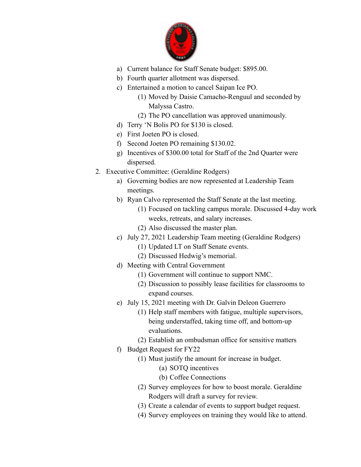

- a) Current balance for Staff Senate budget: \$895.00.
- b) Fourth quarter allotment was dispersed.
- c) Entertained a motion to cancel Saipan Ice PO.
	- (1) Moved by Daisie Camacho-Renguul and seconded by Malyssa Castro.
	- (2) The PO cancellation was approved unanimously.
- d) Terry 'N Bolis PO for \$130 is closed.
- e) First Joeten PO is closed.
- f) Second Joeten PO remaining \$130.02.
- g) Incentives of \$300.00 total for Staff of the 2nd Quarter were dispersed.
- 2. Executive Committee: (Geraldine Rodgers)
	- a) Governing bodies are now represented at Leadership Team meetings.
	- b) Ryan Calvo represented the Staff Senate at the last meeting.
		- (1) Focused on tackling campus morale. Discussed 4-day work weeks, retreats, and salary increases.
		- (2) Also discussed the master plan.
	- c) July 27, 2021 Leadership Team meeting (Geraldine Rodgers)
		- (1) Updated LT on Staff Senate events.
		- (2) Discussed Hedwig's memorial.
	- d) Meeting with Central Government
		- (1) Government will continue to support NMC.
		- (2) Discussion to possibly lease facilities for classrooms to expand courses.
	- e) July 15, 2021 meeting with Dr. Galvin Deleon Guerrero
		- (1) Help staff members with fatigue, multiple supervisors, being understaffed, taking time off, and bottom-up evaluations.
		- (2) Establish an ombudsman office for sensitive matters
	- f) Budget Request for FY22
		- (1) Must justify the amount for increase in budget.
			- (a) SOTQ incentives
			- (b) Coffee Connections
		- (2) Survey employees for how to boost morale. Geraldine Rodgers will draft a survey for review.
		- (3) Create a calendar of events to support budget request.
		- (4) Survey employees on training they would like to attend.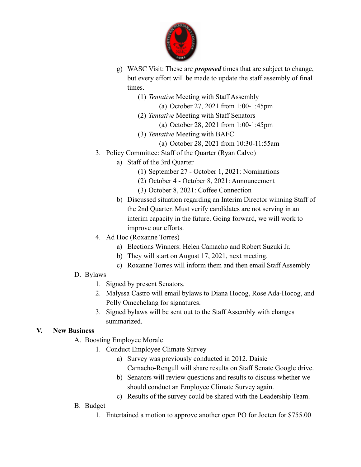

- g) WASC Visit: These are *proposed* times that are subject to change, but every effort will be made to update the staff assembly of final times.
	- (1) *Tentative* Meeting with Staff Assembly
		- (a) October 27, 2021 from 1:00-1:45pm
	- (2) *Tentative* Meeting with Staff Senators
		- (a) October 28, 2021 from 1:00-1:45pm
	- (3) *Tentative* Meeting with BAFC
		- (a) October 28, 2021 from 10:30-11:55am
- 3. Policy Committee: Staff of the Quarter (Ryan Calvo)
	- a) Staff of the 3rd Quarter
		- (1) September 27 October 1, 2021: Nominations
		- (2) October 4 October 8, 2021: Announcement
		- (3) October 8, 2021: Coffee Connection
		- b) Discussed situation regarding an Interim Director winning Staff of the 2nd Quarter. Must verify candidates are not serving in an interim capacity in the future. Going forward, we will work to improve our efforts.
- 4. Ad Hoc (Roxanne Torres)
	- a) Elections Winners: Helen Camacho and Robert Suzuki Jr.
	- b) They will start on August 17, 2021, next meeting.
	- c) Roxanne Torres will inform them and then email Staff Assembly
- D. Bylaws
	- 1. Signed by present Senators.
	- 2. Malyssa Castro will email bylaws to Diana Hocog, Rose Ada-Hocog, and Polly Omechelang for signatures.
	- 3. Signed bylaws will be sent out to the Staff Assembly with changes summarized.

## **V. New Business**

- A. Boosting Employee Morale
	- 1. Conduct Employee Climate Survey
		- a) Survey was previously conducted in 2012. Daisie Camacho-Rengull will share results on Staff Senate Google drive.
		- b) Senators will review questions and results to discuss whether we should conduct an Employee Climate Survey again.
		- c) Results of the survey could be shared with the Leadership Team.
- B. Budget
	- 1. Entertained a motion to approve another open PO for Joeten for \$755.00